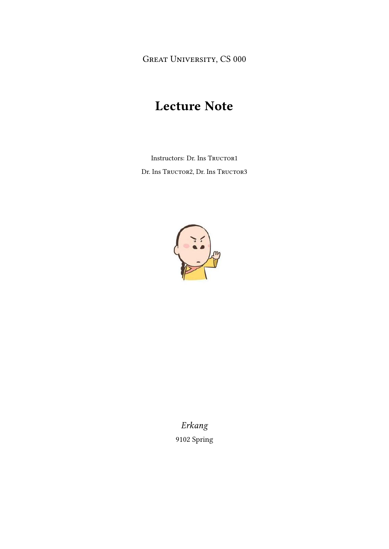GREAT UNIVERSITY, CS 000

# Lecture Note

Instructors: Dr. Ins Tructor1 Dr. Ins Tructor2, Dr. Ins Tructor3



Erkang 9102 Spring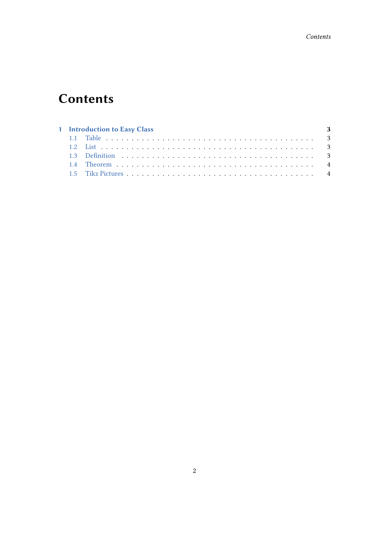# **Contents**

| 1 Introduction to Easy Class<br>$\sim$ 3 |  |  |  |
|------------------------------------------|--|--|--|
|                                          |  |  |  |
|                                          |  |  |  |
|                                          |  |  |  |
|                                          |  |  |  |
|                                          |  |  |  |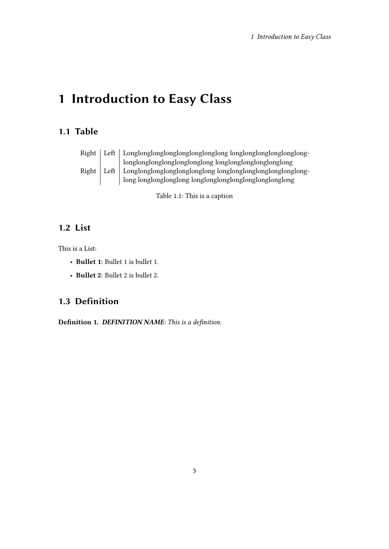# <span id="page-2-0"></span>1 Introduction to Easy Class

#### <span id="page-2-1"></span>1.1 Table

|       | Right   Left   Longlonglonglonglonglonglonglong longlonglonglonglong- |
|-------|-----------------------------------------------------------------------|
|       | longlonglonglonglonglonglong longlonglonglonglonglong                 |
| Right | Left   Longlonglonglonglonglonglong longlonglonglonglonglonglong-     |
|       | long longlonglonglong longlonglonglonglonglonglonglong                |

Table 1.1: This is a caption

### <span id="page-2-2"></span>1.2 List

This is a List:

- Bullet 1: Bullet 1 is bullet 1.
- Bullet 2: Bullet 2 is bullet 2.

## <span id="page-2-3"></span>1.3 Definition

Definition 1. DEFINITION NAME: This is a definition.